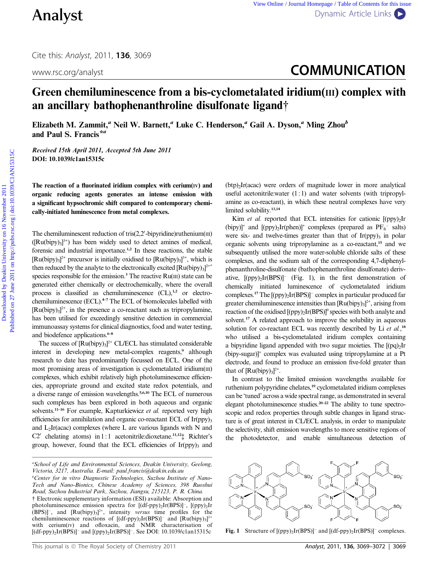# www.rsc.org/analyst **COMMUNICATION**

# Green chemiluminescence from a bis-cyclometalated iridium(III) complex with an ancillary bathophenanthroline disulfonate ligand†

Elizabeth M. Zammit,<sup>a</sup> Neil W. Barnett,<sup>a</sup> Luke C. Henderson,<sup>a</sup> Gail A. Dyson,<sup>a</sup> Ming Zhou<sup>b</sup> and Paul S. Francis<sup>\*a</sup>

Received 15th April 2011, Accepted 5th June 2011 DOI: 10.1039/c1an15315c

The reaction of a fluorinated iridium complex with cerium $(IV)$  and organic reducing agents generates an intense emission with a significant hypsochromic shift compared to contemporary chemically-initiated luminescence from metal complexes.

The chemiluminescent reduction of  $tris(2,2'-bipyridine)$ ruthenium $(III)$  $([Ru(bipy)_3]^3+)$  has been widely used to detect amines of medical, forensic and industrial importance.<sup>1,2</sup> In these reactions, the stable  $[Ru(bipy)_3]^{2+}$  precursor is initially oxidised to  $[Ru(bipy)_3]^{3+}$ , which is then reduced by the analyte to the electronically excited  $[Ru(bipy)_{3}]^{2^{*}}$ species responsible for the emission.<sup>3</sup> The reactive  $Ru(m)$  state can be generated either chemically or electrochemically, where the overall process is classified as chemiluminescence  $(CL),<sup>1,2</sup>$  or electrochemiluminescence (ECL).<sup>4-7</sup> The ECL of biomolecules labelled with  $[Ru(bipy)_3]^{2+}$ , in the presence a co-reactant such as tripropylamine, has been utilised for exceedingly sensitive detection in commercial immunoassay systems for clinical diagnostics, food and water testing, and biodefence applications.<sup>6-8</sup>

The success of  $[Ru(bipy)_3]^{2+}$  CL/ECL has stimulated considerable interest in developing new metal-complex reagents,<sup>9</sup> although research to date has predominantly focussed on ECL. One of the most promising areas of investigation is cyclometalated iridium(III) complexes, which exhibit relatively high photoluminescence efficiencies, appropriate ground and excited state redox potentials, and a diverse range of emission wavelengths.5,6,10 The ECL of numerous such complexes has been explored in both aqueous and organic solvents.<sup>11–16</sup> For example, Kapturkiewicz et al. reported very high efficiencies for annihilation and organic co-reactant ECL of  $Ir(ppy)$ <sub>3</sub> and  $L_2$ Ir(acac) complexes (where L are various ligands with N and C2' chelating atoms) in 1 : 1 acetonitrile:dioxetane.<sup>11,12</sup> $\ddagger$  Richter's group, however, found that the ECL efficiencies of  $Ir(ppy)$ <sub>3</sub> and

 $(btp)$ <sub>2</sub>Ir(acac) were orders of magnitude lower in more analytical useful acetonitrile:water (1:1) and water solvents (with tripropylamine as co-reactant), in which these neutral complexes have very limited solubility.<sup>13,14</sup>

Kim et al. reported that ECL intensities for cationic  $[(\text{ppy})_2]$ Ir (bipy)]<sup>+</sup> and [(ppy)<sub>2</sub>Ir(phen)]<sup>+</sup> complexes (prepared as  $PF_6^-$  salts) were six- and twelve-times greater than that of  $Ir(ppy)$ <sub>3</sub> in polar organic solvents using tripropylamine as a co-reactant,<sup>15</sup> and we subsequently utilised the more water-soluble chloride salts of these complexes, and the sodium salt of the corresponding 4,7-diphenylphenanthroline-disulfonate (bathophenanthroline disulfonate) derivative,  $[(\text{ppy})_2\text{Ir(BPS)}]$ <sup>-</sup> (Fig. 1), in the first demonstration of chemically initiated luminescence of cyclometalated iridium complexes.<sup>17</sup> The [(ppy)2Ir(BPS)]- complex in particular produced far greater chemiluminescence intensities than  $[Ru(bipy)_3]^{2+}$ , arising from reaction of the oxidised  $[(ppy)_2Ir(BPS)]^0$  species with both analyte and solvent.<sup>17</sup> A related approach to improve the solubility in aqueous solution for co-reactant ECL was recently described by Li et al.,<sup>18</sup> who utilised a bis-cyclometalated iridium complex containing a bipyridine ligand appended with two sugar moieties. The  $[(pq)_2]$ Ir (bipy-sugar)]+ complex was evaluated using tripropylamine at a Pt electrode, and found to produce an emission five-fold greater than that of  $\left[\text{Ru(bipy)}_{3}\right]^{2+}$ . **Analyst**<br>
City is Analyst, 2011, 136, 3069<br>
www.vs.org/analyst<br> **COMMUNICATION**<br> **Creen chemiliuminescence from a bis-cyclometalated iridium(iii) complex with<br>
an ancillary bathophenanthroline disulfonate ligand<br>
Final P** 

> In contrast to the limited emission wavelengths available for ruthenium polypyridine chelates,<sup>19</sup> cyclometalated iridium complexes can be 'tuned' across a wide spectral range, as demonstrated in several elegant photoluminescence studies.20–22 The ability to tune spectroscopic and redox properties through subtle changes in ligand structure is of great interest in CL/ECL analysis, in order to manipulate the selectivity, shift emission wavelengths to more sensitive regions of the photodetector, and enable simultaneous detection of



**Fig. 1** Structure of  $[(ppy)_2Ir(BPS)]^-$  and  $[(df-ppy)_2Ir(BPS)]^-$  complexes.

<sup>&</sup>lt;sup>a</sup>School of Life and Environmental Sciences, Deakin University, Geelong, Victoria, 3217, Australia. E-mail: paul.francis@deakin.edu.au

<sup>&</sup>lt;sup>b</sup>Center for in vitro Diagnostic Technologies, Suzhou Institute of Nano-Tech and Nano-Bionics, Chinese Academy of Sciences, 398 Ruoshui Road, Suzhou Industrial Park, Suzhou, Jiangsu, 215123, P. R. China. † Electronic supplementary information (ESI) available: Absorption and photoluminescence emission spectra for  $[(df-ppy)_2Ir(BPS)]^-$ ,  $[(ppy)_2Ir$  $(BPS)$ ]<sup>-</sup>, and  $[Ru(bipy)_3]$ <sup>2+</sup>, intensity versus time profiles for the chemiluminescence reactions of  $[(df-ppy)_2Ir(BPS)]^-$  and  $[Ru(bipy)_3]^{2+}$ with cerium(IV) and ofloxacin, and NMR characterisation of [(df-ppy)2Ir(BPS)]- and [(ppy)2Ir(BPS)]-. See DOI: 10.1039/c1an15315c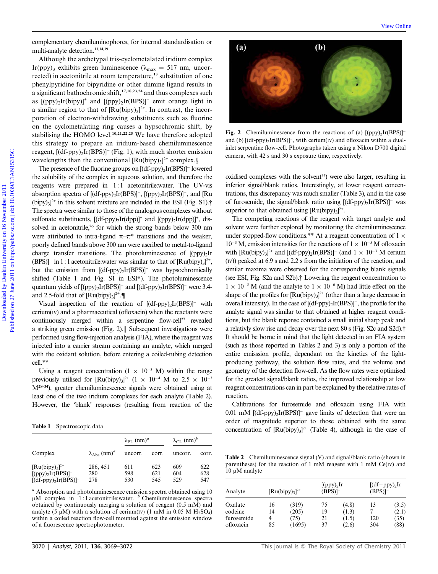complementary chemiluminophores, for internal standardisation or multi-analyte detection.13,14,19

Although the archetypal tris-cyclometalated iridium complex Ir(ppy)<sub>3</sub> exhibits green luminescence ( $\lambda_{\text{max}} = 517$  nm, uncorrected) in acetonitrile at room temperature,<sup>13</sup> substitution of one phenylpyridine for bipyridine or other diimine ligand results in a significant bathochromic shift,<sup>17,18,23,24</sup> and thus complexes such as  $[(\text{ppy})_2\text{Ir(bipy)}]^+$  and  $[(\text{ppy})_2\text{Ir(BPS)}]^-\text{ emit orange light in}$ a similar region to that of  $[Ru(bipy)_3]^2$ <sup>+</sup>. In contrast, the incorporation of electron-withdrawing substituents such as fluorine on the cyclometalating ring causes a hypsochromic shift, by stabilising the HOMO level.<sup>10,21,22,25</sup> We have therefore adopted this strategy to prepare an iridium-based chemiluminescence reagent, [(df-ppy)<sub>2</sub>Ir(BPS)]<sup>-</sup> (Fig. 1), with much shorter emission wavelengths than the conventional  $\left[\text{Ru(bipy)}_3\right]^{2+}$  complex. $\S$ 

The presence of the fluorine groups on  $[(df-ppy)_2Ir(BPS)]^-$  lowered the solubility of the complex in aqueous solution, and therefore the reagents were prepared in 1:1 acetonitrile:water. The UV-vis absorption spectra of  $[(df\text{-}ppy)_2\text{Ir(BPS)}]^-$ ,  $[(ppy)_2\text{Ir(BPS)}]^-$ , and  $[\text{Ru}$  $(bipy)_{3}]^{2+}$  in this solvent mixture are included in the ESI (Fig. S1).† The spectra were similar to those of the analogous complexes without sulfonate substituents,  $[(df-ppy)_2Ir(dpp)]^+$  and  $[(ppy)_2Ir(dpp)]^+$ , dissolved in acetonitrile,<sup>26</sup> for which the strong bands below 300 nm were attributed to intra-ligand  $\pi-\pi^*$  transitions and the weaker, poorly defined bands above 300 nm were ascribed to metal-to-ligand charge transfer transitions. The photoluminescence of  $[(\text{ppy})_2]$ Ir  $(BPS)$ ]<sup>-</sup> in 1 : 1 acetonitrile:water was similar to that of  $[Ru(bipy)_{3}]^{2+}$ , but the emission from  $[(df\text{-}ppy)_2\text{Ir(BPS)}]$  was hypsochromically shifted (Table 1 and Fig. S1 in ESI†). The photoluminescence quantum yields of  $[(\text{ppy})_2\text{Ir(BPS)}]^-$  and  $[(\text{df-ppy})_2\text{Ir(BPS)}]^-$  were 3.4and 2.5-fold that of  $[Ru(bipy)_3]^{2+}$ . complementary shored<br>animalis density of the methods and animalisation or **(2)**<br>
Although the archerynal tris-cyclometatined reidum complex<br>
1r(pp)), ealiblished or lone diministering ( $\frac{1}{2}$ ) and thus complexes and<br>
a

Visual inspection of the reaction of  $[(df-ppy)_2Ir(BPS)]^-$  with  $c$ erium $(v)$  and a pharmaceutical (ofloxacin) when the reactants were continuously merged within a serpentine flow-cell<sup>27</sup> revealed a striking green emission (Fig. 2). $\parallel$  Subsequent investigations were performed using flow-injection analysis (FIA), where the reagent was injected into a carrier stream containing an analyte, which merged with the oxidant solution, before entering a coiled-tubing detection cell.\*\*

Using a reagent concentration  $(1 \times 10^{-3} \text{ M})$  within the range previously utilised for  $\text{[Ru(bipy)_3]}^{2+}$   $(1 \times 10^{-4} \text{ M}$  to  $2.5 \times 10^{-3}$ M28–34), greater chemiluminescence signals were obtained using at least one of the two iridium complexes for each analyte (Table 2). However, the 'blank' responses (resulting from reaction of the

|                                         | $\lambda_{\rm Abs}$ (nm) <sup>a</sup> | $\lambda_{\text{PL}}$ (nm) <sup>a</sup> |       | $\lambda_{CL}$ (nm) <sup>b</sup> |       |
|-----------------------------------------|---------------------------------------|-----------------------------------------|-------|----------------------------------|-------|
| Complex                                 |                                       | uncorr.                                 | corr. | uncorr.                          | corr. |
| $\left[\text{Ru(bipy)}_{3}\right]^{2+}$ | 286, 451                              | 611                                     | 623   | 609                              | 622   |
| $[(ppy)_2Ir(BPS)]^-$                    | 280                                   | 598                                     | 621   | 604                              | 628   |
| $[(df-ppy)_2Ir(BPS)]^-$                 | 278                                   | 530                                     | 545   | 529                              | 547   |

<sup>a</sup> Absorption and photoluminescence emission spectra obtained using 10  $\mu$ M complex in 1:1 acetonitrile:water. <sup>b</sup> Chemiluminescence spectra obtained by continuously merging a solution of reagent (0.5 mM) and analyte (5  $\mu$ M) with a solution of cerium(IV) (1 mM in 0.05 M H<sub>2</sub>SO<sub>4</sub>) within a coiled reaction flow-cell mounted against the emission window of a fluorescence spectrophotometer.



Fig. 2 Chemiluminescence from the reactions of (a)  $[(\text{ppy})_2\text{Ir(BPS)}]$ and (b)  $[(df-ppy)_2Ir(BPS)]^-$ , with cerium(IV) and ofloxacin within a dualinlet serpentine flow-cell. Photographs taken using a Nikon D700 digital camera, with 42 s and 30 s exposure time, respectively.

oxidised complexes with the solvent<sup>33</sup>) were also larger, resulting in inferior signal/blank ratios. Interestingly, at lower reagent concentrations, this discrepancy was much smaller (Table 3), and in the case of furosemide, the signal/blank ratio using  $[(df-ppy)_2Ir(BPS)]^-$  was superior to that obtained using  $[Ru(bipy)_3]^{2+}$ .

The competing reactions of the reagent with target analyte and solvent were further explored by monitoring the chemiluminescence under stopped-flow conditions.\*\* At a reagent concentration of  $1 \times$  $10^{-3}$  M, emission intensities for the reactions of  $1 \times 10^{-5}$  M ofloxacin with  $\text{[Ru(bipy)_3]}^{2+}$  and  $\text{[(df-ppy)_2Ir(BPS)]}^{-}$  (and  $1 \times 10^{-3}$  M cerium (IV)) peaked at 6.9 s and 2.2 s from the initiation of the reaction, and similar maxima were observed for the corresponding blank signals (see ESI, Fig. S2a and S2b).† Lowering the reagent concentration to  $1 \times 10^{-5}$  M (and the analyte to  $1 \times 10^{-6}$  M) had little effect on the shape of the profiles for  $\left[\text{Ru(bipy)}_{3}\right]^{2+}$  (other than a large decrease in overall intensity). In the case of  $[(df-ppy)_2Ir(BPS)]^-$ , the profile for the analyte signal was similar to that obtained at higher reagent conditions, but the blank reponse contained a small initial sharp peak and a relativly slow rise and decay over the next 80 s (Fig. S2c and S2d).† It should be borne in mind that the light detected in an FIA system (such as those reported in Tables 2 and 3) is only a portion of the entire emisssion profile, dependant on the kinetics of the lightproducing pathway, the solution flow rates, and the volume and geometry of the detection flow-cell. As the flow rates were optimised for the greatest signal/blank ratios, the improved relationship at low reagent concentrations can in part be explained by the relative rates of reaction.

Calibrations for furosemide and ofloxacin using FIA with  $0.01$  mM [(df-ppy)<sub>2</sub>Ir(BPS)]<sup>-</sup> gave limits of detection that were an order of magnitude superior to those obtained with the same Table 1 Spectroscopic data concentration of  $\text{[Ru(bipy)]}^{2+}$  (Table 4), although in the case of

Table 2 Chemiluminescence signal (V) and signal/blank ratio (shown in parentheses) for the reaction of 1 mM reagent with 1 mM  $Ce(IV)$  and  $10 \mu M$  analyte

| Analyte                                       | $\left[\text{Ru(bipy)}_{3}\right]^{2+}$ |                                  | [(ppy) <sub>2</sub> Ir]<br>$(BPS)$ ] <sup>-1</sup> |                                  | $[(df - ppy)2Ir$<br>$(BPS)$ ] <sup>-1</sup> |                                |
|-----------------------------------------------|-----------------------------------------|----------------------------------|----------------------------------------------------|----------------------------------|---------------------------------------------|--------------------------------|
| Oxalate<br>codeine<br>furosemide<br>ofloxacin | 16<br>14<br>4<br>85                     | (319)<br>(205)<br>(75)<br>(1695) | 75<br>19<br>21<br>37                               | (4.8)<br>(1.3)<br>(1.5)<br>(2.6) | 13<br>120<br>304                            | (3.5)<br>(2.1)<br>(35)<br>(88) |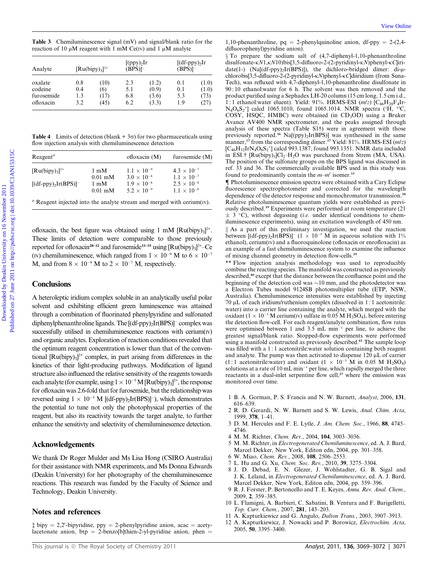Table 3 Chemiluminescence signal (mV) and signal/blank ratio for the reaction of 10  $\mu$ M reagent with 1 mM Ce(IV) and 1  $\mu$ M analyte

| Analyte<br>oxalate<br>codeine | $\left[\text{Ru(bipy)}_{3}\right]^{2+}$ |              | [(ppy) <sub>2</sub> Ir<br>$(BPS)$ ]– |                | $[(df-ppy),Ir]$<br>$(BPS)$ ]– |                |
|-------------------------------|-----------------------------------------|--------------|--------------------------------------|----------------|-------------------------------|----------------|
|                               | 0.8<br>0.4                              | (10)<br>(6)  | 2.3<br>5.1                           | (1.2)<br>(0.9) | 0.1<br>0.1                    | (1.0)<br>(1.0) |
| furosemide<br>ofloxacin       | 1.3<br>3.2                              | (17)<br>(45) | 6.8<br>6.2                           | (3.6)<br>(3.3) | 5.3<br>1.9                    | (73)<br>(27)   |

**Table 4** Limits of detection (blank  $+3\sigma$ ) for two pharmaceuticals using flow injection analysis with chemiluminescence detection

| $\text{Reagent}^a$                                                 |                                                                                     | ofloxacin (M)                                                                                | furosemide (M)                                                                               |
|--------------------------------------------------------------------|-------------------------------------------------------------------------------------|----------------------------------------------------------------------------------------------|----------------------------------------------------------------------------------------------|
| $\left[\text{Ru(bipy)}_{3}\right]^{2+}$<br>$[(df-ppy)_2Ir(BPS)]^-$ | $1 \text{ mM}$<br>$0.01 \text{ mM}$<br>$1 \text{ mM}$<br>$0.01 \text{ }\mathrm{mM}$ | $1.1 \times 10^{-9}$<br>$3.0 \times 10^{-8}$<br>$1.9 \times 10^{-8}$<br>$5.2 \times 10^{-9}$ | $4.3 \times 10^{-7}$<br>$1.1 \times 10^{-7}$<br>$2.5 \times 10^{-8}$<br>$1.1 \times 10^{-8}$ |
|                                                                    |                                                                                     |                                                                                              |                                                                                              |

 $a$  Reagent injected into the analyte stream and merged with cerium(IV).

ofloxacin, the best figure was obtained using 1 mM  $[Ru(bipy)_{3}]^{2+}$ . These limits of detection were comparable to those previously reported for ofloxacin<sup>28–32</sup> and furosemide<sup>33–35</sup> using  $\text{[Ru(bipy)_3]}^{2^+}$ –Ce (IV) chemiluminescence, which ranged from  $1 \times 10^{-9}$  M to  $6 \times 10^{-7}$ M, and from  $8 \times 10^{-9}$  M to  $2 \times 10^{-7}$  M, respectively.

#### **Conclusions**

A heteroleptic iridium complex soluble in an analytically useful polar solvent and exhibiting efficient green luminescence was attained through a combination of fluorinated phenylpyridine and sulfonated diphenylphenanthroline ligands. The [(df-ppy)2Ir(BPS)]- complex was successfully utilised in chemiluminescence reactions with cerium $(w)$ and organic analytes. Exploration ofreaction conditions revealed that the optimum reagent concentration is lower than that of the conventional  $[Ru(bipy)_3]^2$ <sup>+</sup> complex, in part arising from differences in the kinetics of their light-producing pathways. Modification of ligand structure also influenced the relative sensitivity of the reagents towards each analyte (for example, using  $1 \times 10^{-5}$  M [Ru(bipy)<sub>3</sub>]<sup>2+</sup>, the response for ofloxacin was 2.6-fold that for furosemide, but the relationship was reversed using  $1 \times 10^{-5}$  M [(df-ppy)<sub>2</sub>Ir(BPS)]<sup>-</sup>), which demonstrates the potential to tune not only the photophysical properties of the reagent, but also its reactivity towards the target analyte, to further enhance the sensitivty and selectivity of chemiluminescence detection.

### Acknowledgements

We thank Dr Roger Mulder and Ms Lisa Hong (CSIRO Australia) for their assistance with NMR experiments, and Ms Donna Edwards (Deakin University) for her photography of the chemiluminescence reactions. This research was funded by the Faculty of Science and Technology, Deakin University.

## Notes and references

 $\frac{1}{2}$  bipy = 2,2'-bipyridine, ppy = 2-phenylpyridine anion, acac = acetylacetonate anion, btp = 2-benzo[b]thien-2-yl-pyridine anion, phen =

1,10-phenanthroline,  $pq = 2$ -phenylquinoline anion, df-ppy = 2-(2,4difluorophenyl)pyridine anion).

 $\S$  To prepare the sodium salt of (4,7-diphenyl-1,10-phenanthroline disulfonate- $\kappa N1,\kappa N10$ )bis[3,5-difluoro-2-(2-pyridinyl- $\kappa N$ )phenyl- $\kappa C$ |iridate(1-)  $(Na[(df-ppy),Ir(BPS)])$ , the dichloro-bridged dimer: di-uchlorobis[3,5-difluoro-2-(2-pyridinyl-kN)phenyl-kC]diiridium (from Suna-Tech), was refluxed with 4,7-diphenyl-1,10-phenanthroline disulfonate in 90 : 10 ethanol:water for 6 h. The solvent was then removed and the product purified using a Sephadex LH-20 column (15 cm long, 1.5 cm i.d., 1 : 1 ethanol:water eluent). Yield: 91%. HRMS-ESI  $(m/z)$  [C<sub>46</sub>H<sub>28</sub>F<sub>4</sub>Ir-N<sub>4</sub>O<sub>6</sub>S<sub>2</sub><sup>+</sup>] calcd 1065.1010, found 1065.1014. NMR spectra (<sup>1</sup>H, <sup>13</sup>C, COSY, HSQC, HMBC) were obtained (in  $CD<sub>3</sub>OD$ ) using a Bruker Avance AV400 NMR spectrometer, and the peaks assigned through analysis of these spectra (Table S1†) were in agreement with those previously reported.<sup>36</sup> Na[(ppy)<sub>2</sub>Ir(BPS)] was synthesised in the same manner,<sup>17</sup> from the corresponding dimer.<sup>37</sup> Yield: 81%. HRMS-ESI ( $mlz$ )  $[C_{46}H_{32}IrN_4O_6S_2^+]$  calcd 993.1387, found 993.1351. NMR data included in ESI.†  $[Ru(bipy)_3]Cl_2 \cdot H_2O$  was purchased from Strem (MA, USA). The position of the sulfonate groups on the BPS ligand was discussed in ref. 33 and 36. The commercially available BPS used in this study was found to predominantly contain the  $m-m'$  isomer.<sup>33</sup> Table 1 Clear invite one is specified to the specified one is the comparison of the comparison of the comparison of the comparison of the comparison of the comparison of the comparison of the comparison of the comparison

{ Photoluminescence emission spectra were obtained with a Cary Eclipse fluorescence spectrophotometer and corrected for the wavelength dependence of the detector response and monochromator transmission.<sup>38</sup> Relative photoluminescence quantum yields were established as previously described.<sup>19</sup> Experiments were performed at room temperature (21  $\pm$  3 °C), without degassing (*i.e.* under identical conditions to chemiluminescence experiments), using an excitation wavelength of 450 nm.

 $\parallel$  As a part of this preliminary investigation, we used the reaction between  $[(df-ppy)_2Ir(BPS)]$ <sup>-</sup>  $(1 \times 10^{-5}$  M in aqueous solution with 1%  $ethanol$ ,  $cerium(v)$  and a fluoroquinolone (ofloxacin or enrofloxacin) as an example of a fast chemiluminescence system to examine the influence of mixing channel geometry in detection flow-cells.<sup>39</sup>

\*\* Flow injection analysis methodology was used to reproducibly combine the reacting species. The manifold was constructed as previously described,<sup>40</sup> except that the distance between the confluence point and the beginning of the detection coil was  $\sim$ 10 mm, and the photodetector was a Electron Tubes model 9124SB photomultiplier tube (ETP, NSW, Australia). Chemiluminescence intensities were established by injecting  $70 \mu L$  of each iridium/ruthenium complex (dissolved in 1:1 acetonitrile: water) into a carrier line containing the analyte, which merged with the oxidant ( $1 \times 10^{-3}$  M cerium(IV) sulfate in 0.05 M H<sub>2</sub>SO<sub>4</sub>), before entering the detection flow-cell. For each reagent/analyte combination, flow rates were optimised between 1 and 3.5 mL min<sup>-1</sup> per line, to achieve the greatest signal/blank ratio. Stopped-flow experiments were performed using a manifold constructed as previously described.<sup>41</sup> The sample loop was filled with a 1:1 acetonitrile: water solution containing both reagent and analyte. The pump was then activated to dispense  $120 \mu L$  of carrier  $(1 \t1$  acetonitrile:water) and oxidant  $(1 \times 10^{-3} \text{ M} \text{ in } 0.05 \text{ M} \text{ H}_2\text{SO}_4)$ solutions at a rate of  $10 \text{ mL min}^{-1}$  per line, which rapidly merged the three reactants in a dual-inlet serpentine flow cell,<sup>27</sup> where the emission was monitored over time.

- 1 B. A. Gorman, P. S. Francis and N. W. Barnett, Analyst, 2006, 131, 616–639.
- 2 R. D. Gerardi, N. W. Barnett and S. W. Lewis, Anal. Chim. Acta, 1999, 378, 1–41.
- 3 D. M. Hercules and F. E. Lytle, J. Am. Chem. Soc., 1966, 88, 4745– 4746.
- 4 M. M. Richter, Chem. Rev., 2004, 104, 3003–3036.
- 5 M. M. Richter, in Electrogenerated Chemiluminescence, ed. A. J. Bard, Marcel Dekker, New York, Editon edn, 2004, pp. 301–358.
- 6 W. Miao, Chem. Rev., 2008, 108, 2506–2553.
- 7 L. Hu and G. Xu, Chem. Soc. Rev., 2010, 39, 3275–3304.
- 8 J. D. Debad, E. N. Glezer, J. Wohlstadter, G. B. Sigal and J. K. Leland, in Electrogenerated Chemiluminescence, ed. A. J. Bard, Marcel Dekker, New York, Editon edn, 2004, pp. 359–396.
- R. J. Forster, P. Bertoncello and T. E. Keyes, Annu. Rev. Anal. Chem., 2009, 2, 359–385.
- 10 L. Flamigni, A. Barbieri, C. Sabatini, B. Ventura and F. Barigelletti, Top. Curr. Chem., 2007, 281, 143–203.
- 11 A. Kapturkiewicz and G. Angulo, Dalton Trans., 2003, 3907–3913.
- 12 A. Kapturkiewicz, J. Nowacki and P. Borowicz, Electrochim. Acta,
- 2005, 50, 3395–3400.